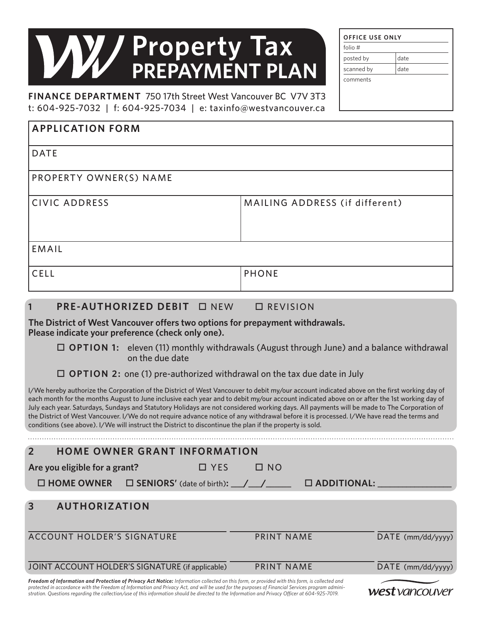# **Property Tax PREPAYMENT PLAN**

**FINANCE DEPARTMENT** 750 17th Street West Vancouver BC V7V 3T3 t: 604-925-7032 | f: 604-925-7034 | e: taxinfo@westvancouver.ca

| folio $#$  |      |
|------------|------|
| posted by  | date |
| scanned by | date |

| <b>APPLICATION FORM</b> |                                |
|-------------------------|--------------------------------|
| <b>DATE</b>             |                                |
| PROPERTY OWNER(S) NAME  |                                |
| <b>CIVIC ADDRESS</b>    | MAILING ADDRESS (if different) |
| EMAIL                   |                                |
| <b>CELL</b>             | <b>PHONE</b>                   |

#### **1 PRE-AUTHORIZED DEBIT**  $\Box$  NEW  $\Box$  REVISION

**The District of West Vancouver offers two options for prepayment withdrawals. Please indicate your preference (check only one).**

#### **OPTION 1:** eleven (11) monthly withdrawals (August through June) and a balance withdrawal on the due date

**OPTION 2:** one (1) pre-authorized withdrawal on the tax due date in July

I/We hereby authorize the Corporation of the District of West Vancouver to debit my/our account indicated above on the first working day of each month for the months August to June inclusive each year and to debit my/our account indicated above on or after the 1st working day of July each year. Saturdays, Sundays and Statutory Holidays are not considered working days. All payments will be made to The Corporation of the District of West Vancouver. I/We do not require advance notice of any withdrawal before it is processed. I/We have read the terms and conditions (see above). I/We will instruct the District to discontinue the plan if the property is sold.

| <b>HOME OWNER GRANT INFORMATION</b>                                     |                         |                       |  |  |
|-------------------------------------------------------------------------|-------------------------|-----------------------|--|--|
| Are you eligible for a grant?                                           | $\Box$ NO<br>$\Box$ YES |                       |  |  |
| $\Box$ HOME OWNER $\Box$ SENIORS' (date of birth): $\Box / \Box / \Box$ |                         | $\square$ ADDITIONAL: |  |  |
| <b>AUTHORIZATION</b><br>3                                               |                         |                       |  |  |
|                                                                         |                         |                       |  |  |
| <b>ACCOUNT HOLDER'S SIGNATURE</b>                                       | PRINT NAME              | $DATAE$ (mm/dd/yyyy)  |  |  |
|                                                                         |                         |                       |  |  |

JOINT ACCOUNT HOLDER'S SIGNATURE (if applicable) PRINT NAME DATE (mm/dd/yyyy)

*Freedom of Information and Protection of Privacy Act Notice: Information collected on this form, or provided with this form, is collected and protected in accordance with the Freedom of Information and Privacy Act, and will be used for the purposes of Financial Services program administration. Questions regarding the collection/use of this information should be directed to the Information and Privacy Officer at 604-925-7019.*

west vancouver